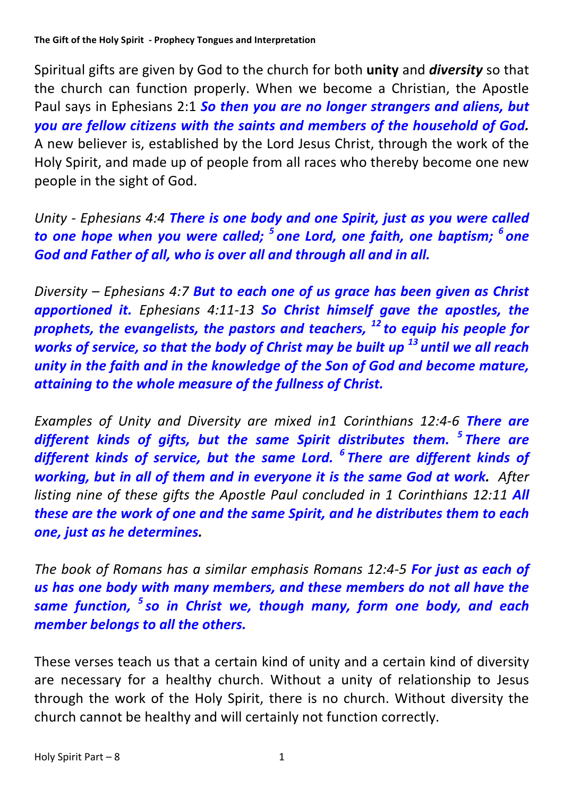Spiritual gifts are given by God to the church for both **unity** and *diversity* so that the church can function properly. When we become a Christian, the Apostle Paul says in Ephesians 2:1 **So then you are no longer strangers and aliens, but** *you* are fellow citizens with the saints and members of the household of God. A new believer is, established by the Lord Jesus Christ, through the work of the Holy Spirit, and made up of people from all races who thereby become one new people in the sight of God.

*Unity* - *Ephesians* 4:4 *There is one body and one Spirit, just as you were called to* one hope when you were called; <sup>5</sup> one Lord, one faith, one baptism; <sup>6</sup> one God and Father of all, who is over all and through all and in all.

*Diversity* – *Ephesians* 4:7 **But to each one of us grace has been given as Christ** apportioned it. *Ephesians 4:11-13* So Christ himself gave the apostles, the *prophets, the evangelists, the pastors and teachers,* <sup>12</sup> *to equip his people for works of service, so that the body of Christ may be built up*<sup>13</sup> *until we all reach unity* in the faith and in the knowledge of the Son of God and become mature, *attaining to the whole measure of the fullness of Christ.* 

*Examples of Unity and Diversity are mixed in1 Corinthians 12:4-6 There are* different kinds of gifts, but the same Spirit distributes them. <sup>5</sup> There are different kinds of service, but the same Lord. <sup>6</sup> There are different kinds of *working, but in all of them and in everyone it is the same God at work. After listing nine of these gifts the Apostle Paul concluded in 1 Corinthians 12:11 All these are the work of one and the same Spirit, and he distributes them to each one, just as he determines.*

*The book of Romans has a similar emphasis Romans 12:4-5 For just as each of* us has one body with many members, and these members do not all have the *same function,* <sup>5</sup> *so in Christ we, though many, form one body, and each member belongs to all the others.* 

These verses teach us that a certain kind of unity and a certain kind of diversity are necessary for a healthy church. Without a unity of relationship to Jesus through the work of the Holy Spirit, there is no church. Without diversity the church cannot be healthy and will certainly not function correctly.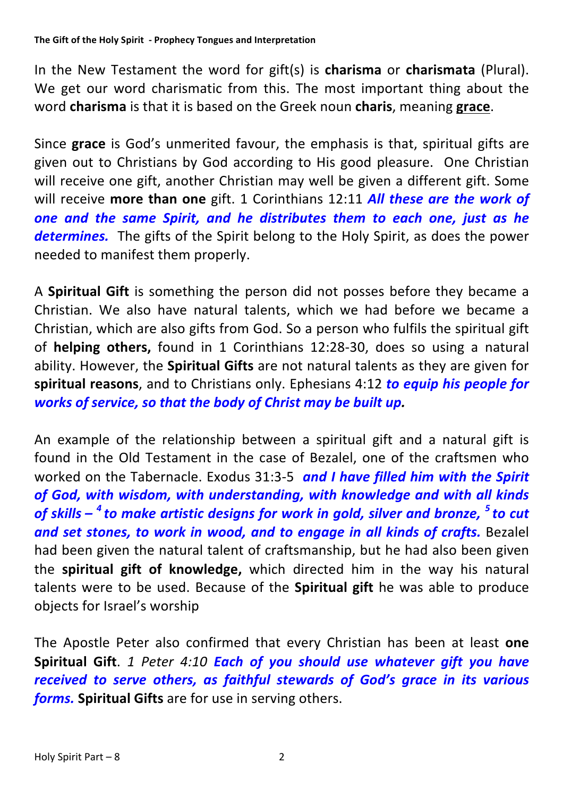The Gift of the Holy Spirit - Prophecy Tongues and Interpretation

In the New Testament the word for gift(s) is **charisma** or **charismata** (Plural). We get our word charismatic from this. The most important thing about the word **charisma** is that it is based on the Greek noun **charis**, meaning grace.

Since grace is God's unmerited favour, the emphasis is that, spiritual gifts are given out to Christians by God according to His good pleasure. One Christian will receive one gift, another Christian may well be given a different gift. Some will receive more than one gift. 1 Corinthians 12:11 *All these are the work of one and the same Spirit, and he distributes them to each one, just as he* **determines.** The gifts of the Spirit belong to the Holy Spirit, as does the power needed to manifest them properly.

A **Spiritual Gift** is something the person did not posses before they became a Christian. We also have natural talents, which we had before we became a Christian, which are also gifts from God. So a person who fulfils the spiritual gift of **helping others,** found in 1 Corinthians 12:28-30, does so using a natural ability. However, the **Spiritual Gifts** are not natural talents as they are given for spiritual reasons, and to Christians only. Ephesians 4:12 *to equip his people for works of service, so that the body of Christ may be built up.* 

An example of the relationship between a spiritual gift and a natural gift is found in the Old Testament in the case of Bezalel, one of the craftsmen who worked on the Tabernacle. Exodus 31:3-5 *and I have filled him with the Spirit* of God, with wisdom, with understanding, with knowledge and with all kinds of skills – <sup>4</sup> to make artistic designs for work in gold, silver and bronze, <sup>5</sup> to cut and set stones, to work in wood, and to engage in all kinds of crafts. Bezalel had been given the natural talent of craftsmanship, but he had also been given the spiritual gift of knowledge, which directed him in the way his natural talents were to be used. Because of the **Spiritual gift** he was able to produce objects for Israel's worship

The Apostle Peter also confirmed that every Christian has been at least one Spiritual Gift. 1 Peter 4:10 **Each of you should use whatever gift you have** received to serve others, as faithful stewards of God's grace in its various *forms.* Spiritual Gifts are for use in serving others.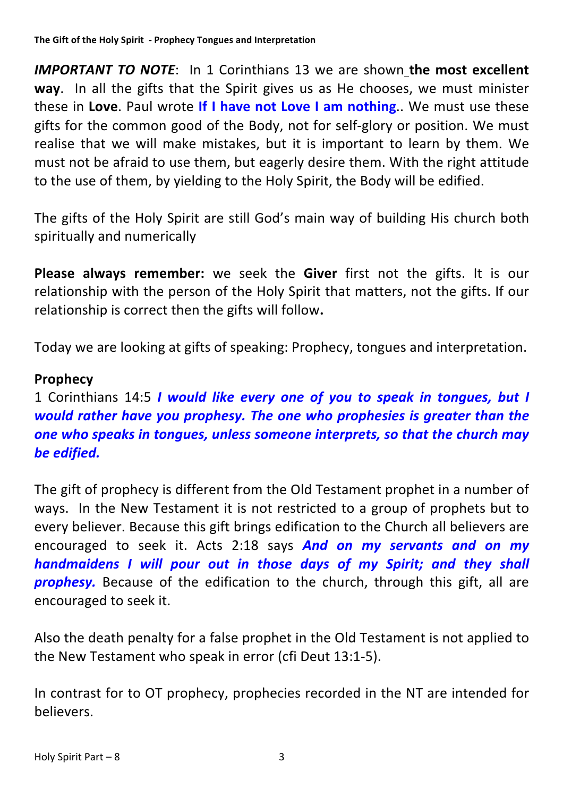**IMPORTANT TO NOTE:** In 1 Corinthians 13 we are shown the most excellent **way**. In all the gifts that the Spirit gives us as He chooses, we must minister these in Love. Paul wrote If I have not Love I am nothing.. We must use these gifts for the common good of the Body, not for self-glory or position. We must realise that we will make mistakes, but it is important to learn by them. We must not be afraid to use them, but eagerly desire them. With the right attitude to the use of them, by yielding to the Holy Spirit, the Body will be edified.

The gifts of the Holy Spirit are still God's main way of building His church both spiritually and numerically

**Please always remember:** we seek the Giver first not the gifts. It is our relationship with the person of the Holy Spirit that matters, not the gifts. If our relationship is correct then the gifts will follow.

Today we are looking at gifts of speaking: Prophecy, tongues and interpretation.

# **Prophecy**

1 Corinthians 14:5 *I* would like every one of you to speak in tongues, but I *would rather have you prophesy. The one who prophesies is greater than the one* who speaks in tongues, unless someone interprets, so that the church may *be edified.*

The gift of prophecy is different from the Old Testament prophet in a number of ways. In the New Testament it is not restricted to a group of prophets but to every believer. Because this gift brings edification to the Church all believers are encouraged to seek it. Acts 2:18 says **And on my servants and on my** *handmaidens I will pour out in those days of my Spirit; and they shall* **prophesy.** Because of the edification to the church, through this gift, all are encouraged to seek it.

Also the death penalty for a false prophet in the Old Testament is not applied to the New Testament who speak in error (cfi Deut 13:1-5).

In contrast for to OT prophecy, prophecies recorded in the NT are intended for believers.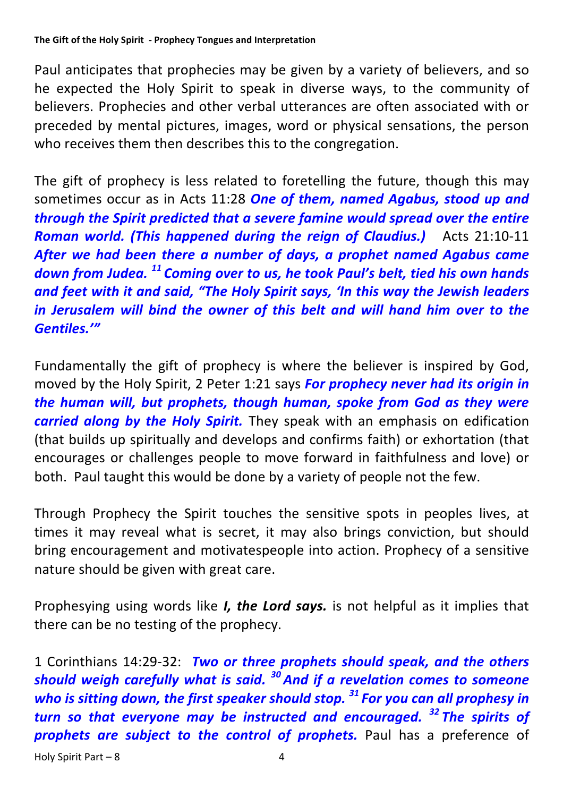### The Gift of the Holy Spirit - Prophecy Tongues and Interpretation

Paul anticipates that prophecies may be given by a variety of believers, and so he expected the Holy Spirit to speak in diverse ways, to the community of believers. Prophecies and other verbal utterances are often associated with or preceded by mental pictures, images, word or physical sensations, the person who receives them then describes this to the congregation.

The gift of prophecy is less related to foretelling the future, though this may sometimes occur as in Acts 11:28 One of them, named Agabus, stood up and *through the Spirit predicted that a severe famine would spread over the entire Roman world. (This happened during the reign of Claudius.)* Acts 21:10-11 After we had been there a number of days, a prophet named Agabus came *down* from Judea.<sup>11</sup> Coming over to us, he took Paul's belt, tied his own hands and feet with it and said, "The Holy Spirit says, 'In this way the Jewish leaders *in Jerusalem will bind the owner of this belt and will hand him over to the Gentiles.'"*

Fundamentally the gift of prophecy is where the believer is inspired by God, moved by the Holy Spirit, 2 Peter 1:21 says **For prophecy never had its origin in** *the human will, but prophets, though human, spoke from God as they were carried along by the Holy Spirit.* They speak with an emphasis on edification (that builds up spiritually and develops and confirms faith) or exhortation (that encourages or challenges people to move forward in faithfulness and love) or both. Paul taught this would be done by a variety of people not the few.

Through Prophecy the Spirit touches the sensitive spots in peoples lives, at times it may reveal what is secret, it may also brings conviction, but should bring encouragement and motivatespeople into action. Prophecy of a sensitive nature should be given with great care.

Prophesying using words like *I*, the Lord says. is not helpful as it implies that there can be no testing of the prophecy.

1 Corinthians 14:29-32: *Two or three prophets should speak, and the others should* weigh carefully what is said. <sup>30</sup> And if a revelation comes to someone *who is sitting down, the first speaker should stop.* <sup>31</sup> For you can all prophesy in *turn* so that everyone may be instructed and encouraged.<sup>32</sup> The spirits of **prophets are subject to the control of prophets.** Paul has a preference of

 $Holy$  Spirit Part  $-8$  4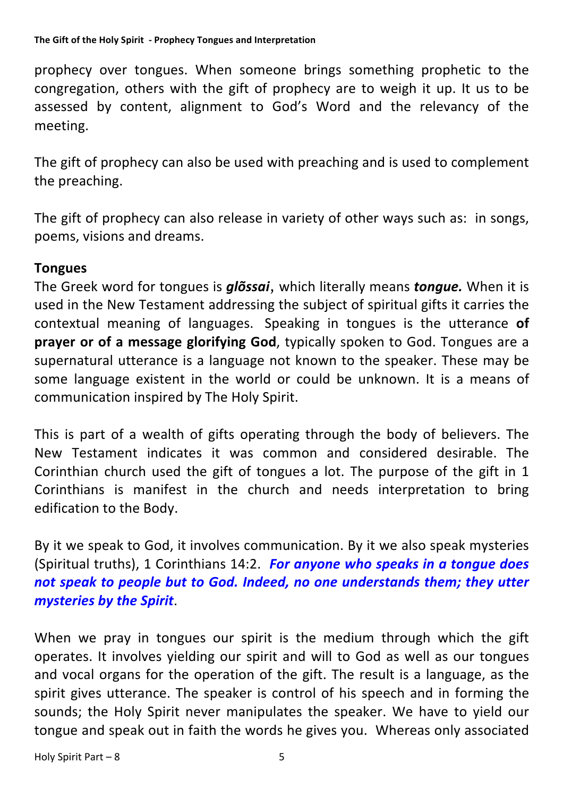prophecy over tongues. When someone brings something prophetic to the congregation, others with the gift of prophecy are to weigh it up. It us to be assessed by content, alignment to God's Word and the relevancy of the meeting. 

The gift of prophecy can also be used with preaching and is used to complement the preaching.

The gift of prophecy can also release in variety of other ways such as: in songs, poems, visions and dreams.

## **Tongues**

The Greek word for tongues is **glõssai**, which literally means *tongue*. When it is used in the New Testament addressing the subject of spiritual gifts it carries the contextual meaning of languages. Speaking in tongues is the utterance of **prayer or of a message glorifying God**, typically spoken to God. Tongues are a supernatural utterance is a language not known to the speaker. These may be some language existent in the world or could be unknown. It is a means of communication inspired by The Holy Spirit.

This is part of a wealth of gifts operating through the body of believers. The New Testament indicates it was common and considered desirable. The Corinthian church used the gift of tongues a lot. The purpose of the gift in 1 Corinthians is manifest in the church and needs interpretation to bring edification to the Body.

By it we speak to God, it involves communication. By it we also speak mysteries (Spiritual truths), 1 Corinthians 14:2. For anyone who speaks in a tongue does not speak to people but to God. Indeed, no one understands them; they utter *mysteries by the Spirit*. 

When we pray in tongues our spirit is the medium through which the gift operates. It involves yielding our spirit and will to God as well as our tongues and vocal organs for the operation of the gift. The result is a language, as the spirit gives utterance. The speaker is control of his speech and in forming the sounds; the Holy Spirit never manipulates the speaker. We have to yield our tongue and speak out in faith the words he gives you. Whereas only associated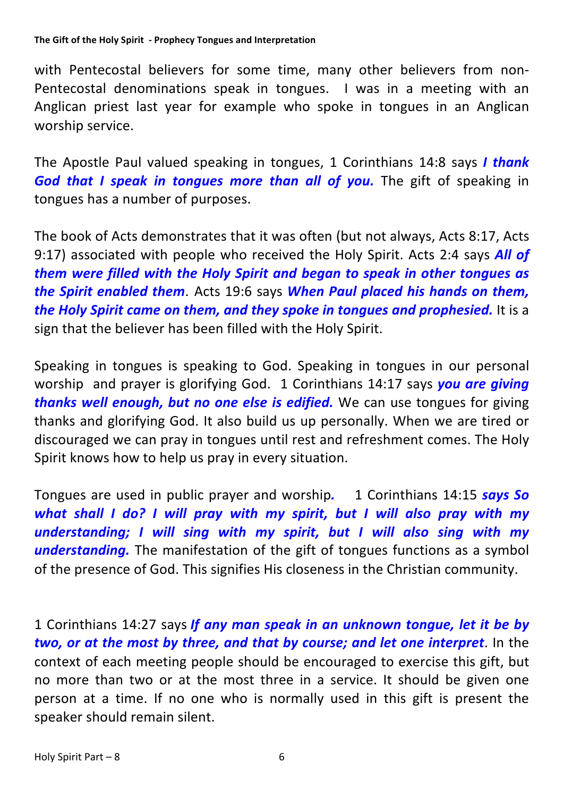#### The Gift of the Holy Spirit - Prophecy Tongues and Interpretation

with Pentecostal believers for some time, many other believers from non-Pentecostal denominations speak in tongues. I was in a meeting with an Anglican priest last year for example who spoke in tongues in an Anglican worship service.

The Apostle Paul valued speaking in tongues, 1 Corinthians 14:8 says *I thank* God that I speak in tongues more than all of you. The gift of speaking in tongues has a number of purposes.

The book of Acts demonstrates that it was often (but not always, Acts 8:17, Acts 9:17) associated with people who received the Holy Spirit. Acts 2:4 says **All of** *them* were filled with the Holy Spirit and began to speak in other tongues as *the Spirit enabled them.* Acts 19:6 says *When Paul placed his hands on them, the Holy Spirit came on them, and they spoke in tongues and prophesied.* It is a sign that the believer has been filled with the Holy Spirit.

Speaking in tongues is speaking to God. Speaking in tongues in our personal worship and prayer is glorifying God. 1 Corinthians 14:17 says **you are giving** *thanks well enough, but no one else is edified.* We can use tongues for giving thanks and glorifying God. It also build us up personally. When we are tired or discouraged we can pray in tongues until rest and refreshment comes. The Holy Spirit knows how to help us pray in every situation.

Tongues are used in public prayer and worship. 1 Corinthians 14:15 **says So** *what* shall I do? I will pray with my spirit, but I will also pray with my *understanding;* I will sing with my spirit, but I will also sing with my **understanding.** The manifestation of the gift of tongues functions as a symbol of the presence of God. This signifies His closeness in the Christian community.

1 Corinthians 14:27 says *If any man speak in an unknown tongue, let it be by two, or at the most by three, and that by course; and let one interpret.* In the context of each meeting people should be encouraged to exercise this gift, but no more than two or at the most three in a service. It should be given one person at a time. If no one who is normally used in this gift is present the speaker should remain silent.